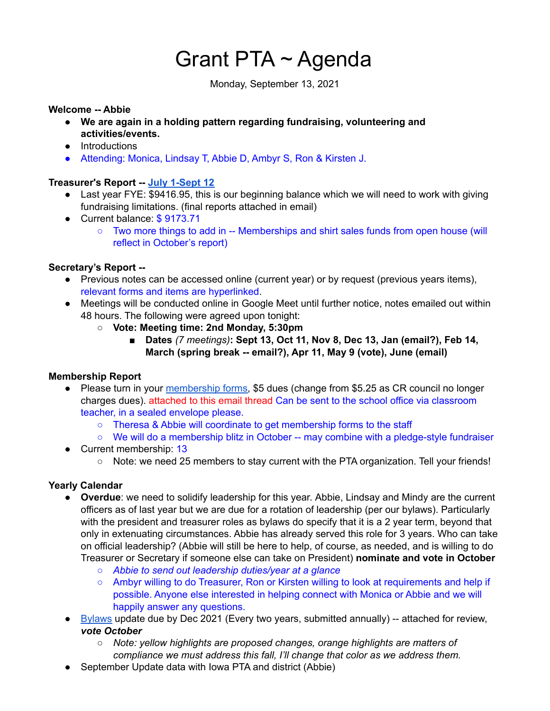# Grant PTA ~ Agenda

Monday, September 13, 2021

#### **Welcome -- Abbie**

- **We are again in a holding pattern regarding fundraising, volunteering and activities/events.**
- Introductions
- Attending: Monica, Lindsay T, Abbie D, Ambyr S, Ron & Kirsten J.

# **Treasurer's Report -- July [1-Sept](https://drive.google.com/open?id=1rsOUNMPx2ccmIfXBdyGmBeBCTQlJCDXrnUh12FkRigk) 12**

- Last year FYE: \$9416.95, this is our beginning balance which we will need to work with giving fundraising limitations. (final reports attached in email)
- Current balance: \$9173.71
	- Two more things to add in -- Memberships and shirt sales funds from open house (will reflect in October's report)

#### **Secretary's Report --**

- Previous notes can be accessed online (current year) or by request (previous years items), relevant forms and items are hyperlinked.
- Meetings will be conducted online in Google Meet until further notice, notes emailed out within 48 hours. The following were agreed upon tonight:
	- **○ Vote: Meeting time: 2nd Monday, 5:30pm**
		- **■ Dates** *(7 meetings)***: Sept 13, Oct 11, Nov 8, Dec 13, Jan (email?), Feb 14, March (spring break -- email?), Apr 11, May 9 (vote), June (email)**

#### **Membership Report**

- Please turn in your [membership](https://docs.google.com/document/u/6/d/1uPbiR6U21vNWAVk0MlDmTQn7ribgQYQ9j_b-uv61O-I/edit) forms, \$5 dues (change from \$5.25 as CR council no longer charges dues). attached to this email thread Can be sent to the school office via classroom teacher, in a sealed envelope please.
	- Theresa & Abbie will coordinate to get membership forms to the staff
	- We will do a membership blitz in October -- may combine with a pledge-style fundraiser
- Current membership: 13
	- Note: we need 25 members to stay current with the PTA organization. Tell your friends!

#### **Yearly Calendar**

- **Overdue**: we need to solidify leadership for this year. Abbie, Lindsay and Mindy are the current officers as of last year but we are due for a rotation of leadership (per our bylaws). Particularly with the president and treasurer roles as bylaws do specify that it is a 2 year term, beyond that only in extenuating circumstances. Abbie has already served this role for 3 years. Who can take on official leadership? (Abbie will still be here to help, of course, as needed, and is willing to do Treasurer or Secretary if someone else can take on President) **nominate and vote in October**
	- *○ Abbie to send out leadership duties/year at a glance*
	- Ambyr willing to do Treasurer, Ron or Kirsten willing to look at requirements and help if possible. Anyone else interested in helping connect with Monica or Abbie and we will happily answer any questions.
- [Bylaws](https://docs.google.com/document/u/6/d/1qTS5ot88nC8pceMK06WRdqdiM7hH-ZjBQ2_4RAdLpjU/edit) update due by Dec 2021 (Every two years, submitted annually) -- attached for review, *vote October*
	- *○ Note: yellow highlights are proposed changes, orange highlights are matters of compliance we must address this fall, I'll change that color as we address them.*
- September Update data with Iowa PTA and district (Abbie)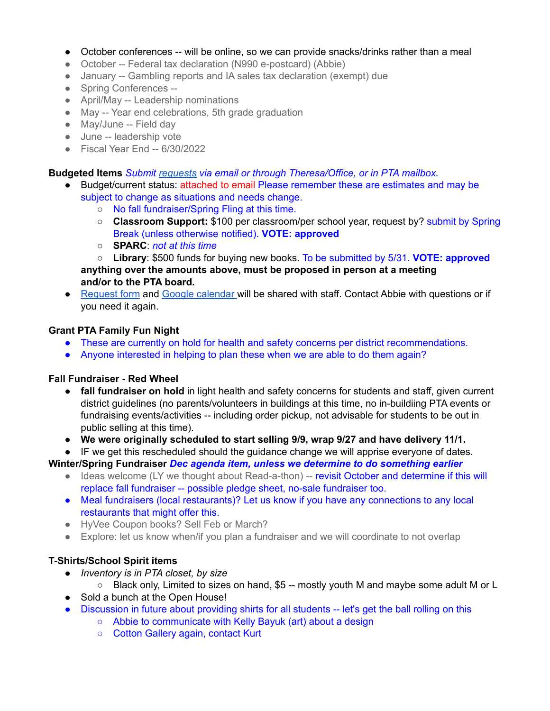- October conferences -- will be online, so we can provide snacks/drinks rather than a meal
- October -- Federal tax declaration (N990 e-postcard) (Abbie)
- January -- Gambling reports and IA sales tax declaration (exempt) due
- Spring Conferences --
- April/May -- Leadership nominations
- May -- Year end celebrations, 5th grade graduation
- Mav/June -- Field day
- June -- leadership vote
- Fiscal Year End -- 6/30/2022

### **Budgeted Items** *Submit [requests](https://docs.google.com/document/u/6/d/1OlETgmfD3qSoYtYsMDUqpsSMnpwpmOnR4nUDpWTviIc/edit) via email or through Theresa/Office, or in PTA mailbox.*

- Budget/current status: attached to email Please remember these are estimates and may be subject to change as situations and needs change.
	- No fall fundraiser/Spring Fling at this time.
	- **Classroom Support:** \$100 per classroom/per school year, request by? submit by Spring Break (unless otherwise notified). **VOTE: approved**
	- **SPARC**: *not at this time*

○ **Library**: \$500 funds for buying new books. To be submitted by 5/31. **VOTE: approved anything over the amounts above, must be proposed in person at a meeting and/or to the PTA board.**

● [Request](https://docs.google.com/document/u/6/d/1OlETgmfD3qSoYtYsMDUqpsSMnpwpmOnR4nUDpWTviIc/edit) form and Google [calendar](https://calendar.google.com/calendar/u/6?cid=Z3JhbnRlbGVtZW50YXJ5c2Nob29sY3IucHRhQGdtYWlsLmNvbQ) will be shared with staff. Contact Abbie with questions or if you need it again.

# **Grant PTA Family Fun Night**

- These are currently on hold for health and safety concerns per district recommendations.
- Anyone interested in helping to plan these when we are able to do them again?

#### **Fall Fundraiser - Red Wheel**

- **fall fundraiser on hold** in light health and safety concerns for students and staff, given current district guidelines (no parents/volunteers in buildings at this time, no in-buildiing PTA events or fundraising events/activities -- including order pickup, not advisable for students to be out in public selling at this time).
- **● We were originally scheduled to start selling 9/9, wrap 9/27 and have delivery 11/1.**
- IF we get this rescheduled should the guidance change we will apprise everyone of dates.

**Winter/Spring Fundraiser** *Dec agenda item, unless we determine to do something earlier*

- Ideas welcome (LY we thought about Read-a-thon) -- revisit October and determine if this will replace fall fundraiser -- possible pledge sheet, no-sale fundraiser too.
- Meal fundraisers (local restaurants)? Let us know if you have any connections to any local restaurants that might offer this.
- HyVee Coupon books? Sell Feb or March?
- Explore: let us know when/if you plan a fundraiser and we will coordinate to not overlap

# **T-Shirts/School Spirit items**

- *● Inventory is in PTA closet, by size*
	- $\circ$  Black only, Limited to sizes on hand, \$5 -- mostly youth M and maybe some adult M or L
- Sold a bunch at the Open House!
- Discussion in future about providing shirts for all students -- let's get the ball rolling on this
	- Abbie to communicate with Kelly Bayuk (art) about a design
	- Cotton Gallery again, contact Kurt